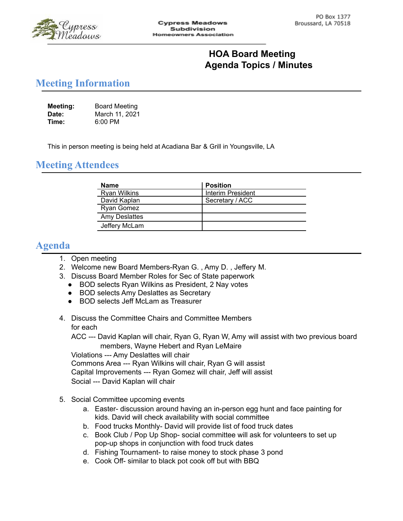

## **HOA Board Meeting Agenda Topics / Minutes**

## **Meeting Information**

| Meeting: | <b>Board Meeting</b> |
|----------|----------------------|
| Date:    | March 11, 2021       |
| Time:    | $6:00$ PM            |

This in person meeting is being held at Acadiana Bar & Grill in Youngsville, LA

## **Meeting Attendees**

| Name                | <b>Position</b>   |
|---------------------|-------------------|
| <b>Ryan Wilkins</b> | Interim President |
| David Kaplan        | Secretary / ACC   |
| Ryan Gomez          |                   |
| Amy Deslattes       |                   |
| Jeffery McLam       |                   |

## **Agenda**

- 1. Open meeting
- 2. Welcome new Board Members-Ryan G. , Amy D. , Jeffery M.
- 3. Discuss Board Member Roles for Sec of State paperwork
	- BOD selects Ryan Wilkins as President, 2 Nay votes
	- BOD selects Amy Deslattes as Secretary
	- BOD selects Jeff McLam as Treasurer
- 4. Discuss the Committee Chairs and Committee Members for each

ACC --- David Kaplan will chair, Ryan G, Ryan W, Amy will assist with two previous board members, Wayne Hebert and Ryan LeMaire

Violations --- Amy Deslattes will chair Commons Area --- Ryan Wilkins will chair, Ryan G will assist Capital Improvements --- Ryan Gomez will chair, Jeff will assist Social --- David Kaplan will chair

- 5. Social Committee upcoming events
	- a. Easter- discussion around having an in-person egg hunt and face painting for kids. David will check availability with social committee
	- b. Food trucks Monthly- David will provide list of food truck dates
	- c. Book Club / Pop Up Shop- social committee will ask for volunteers to set up pop-up shops in conjunction with food truck dates
	- d. Fishing Tournament- to raise money to stock phase 3 pond
	- e. Cook Off- similar to black pot cook off but with BBQ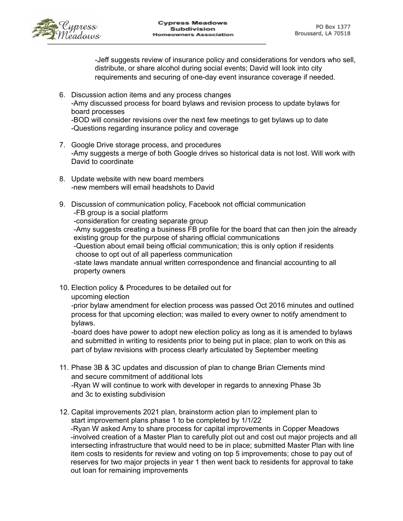

-Jeff suggests review of insurance policy and considerations for vendors who sell, distribute, or share alcohol during social events; David will look into city requirements and securing of one-day event insurance coverage if needed.

- 6. Discussion action items and any process changes -Amy discussed process for board bylaws and revision process to update bylaws for board processes -BOD will consider revisions over the next few meetings to get bylaws up to date
- -Questions regarding insurance policy and coverage 7. Google Drive storage process, and procedures
- -Amy suggests a merge of both Google drives so historical data is not lost. Will work with David to coordinate
- 8. Update website with new board members -new members will email headshots to David
- 9. Discussion of communication policy, Facebook not official communication -FB group is a social platform -consideration for creating separate group -Amy suggests creating a business FB profile for the board that can then join the already existing group for the purpose of sharing official communications -Question about email being official communication; this is only option if residents choose to opt out of all paperless communication -state laws mandate annual written correspondence and financial accounting to all property owners
- 10. Election policy & Procedures to be detailed out for upcoming election

-prior bylaw amendment for election process was passed Oct 2016 minutes and outlined process for that upcoming election; was mailed to every owner to notify amendment to bylaws.

-board does have power to adopt new election policy as long as it is amended to bylaws and submitted in writing to residents prior to being put in place; plan to work on this as part of bylaw revisions with process clearly articulated by September meeting

- 11. Phase 3B & 3C updates and discussion of plan to change Brian Clements mind and secure commitment of additional lots -Ryan W will continue to work with developer in regards to annexing Phase 3b and 3c to existing subdivision
- 12. Capital improvements 2021 plan, brainstorm action plan to implement plan to start improvement plans phase 1 to be completed by 1/1/22 -Ryan W asked Amy to share process for capital improvements in Copper Meadows -involved creation of a Master Plan to carefully plot out and cost out major projects and all intersecting infrastructure that would need to be in place; submitted Master Plan with line item costs to residents for review and voting on top 5 improvements; chose to pay out of reserves for two major projects in year 1 then went back to residents for approval to take out loan for remaining improvements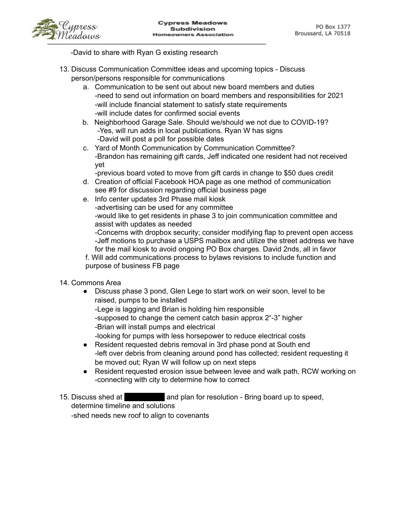

-David to share with Ryan G existing research

- 13. Discuss Communication Committee ideas and upcoming topics Discuss person/persons responsible for communications
	- a. Communication to be sent out about new board members and duties -need to send out information on board members and responsibilities for 2021 -will include financial statement to satisfy state requirements -will include dates for confirmed social events
	- b. Neighborhood Garage Sale. Should we/should we not due to COVID-19? -Yes, will run adds in local publications. Ryan W has signs -David will post a poll for possible dates
	- c. Yard of Month Communication by Communication Committee? -Brandon has remaining gift cards, Jeff indicated one resident had not received yet

-previous board voted to move from gift cards in change to \$50 dues credit

- d. Creation of official Facebook HOA page as one method of communication see #9 for discussion regarding official business page
- e. Info center updates 3rd Phase mail kiosk -advertising can be used for any committee -would like to get residents in phase 3 to join communication committee and assist with updates as needed -Concerns with dropbox security; consider modifying flap to prevent open access

-Jeff motions to purchase a USPS mailbox and utilize the street address we have for the mail kiosk to avoid ongoing PO Box charges. David 2nds, all in favor

f. Will add communications process to bylaws revisions to include function and purpose of business FB page

- 14. Commons Area
	- Discuss phase 3 pond, Glen Lege to start work on weir soon, level to be raised, pumps to be installed

-Lege is lagging and Brian is holding him responsible

-supposed to change the cement catch basin approx 2"-3" higher -Brian will install pumps and electrical

-looking for pumps with less horsepower to reduce electrical costs

- Resident requested debris removal in 3rd phase pond at South end -left over debris from cleaning around pond has collected; resident requesting it be moved out; Ryan W will follow up on next steps
- Resident requested erosion issue between levee and walk path, RCW working on -connecting with city to determine how to correct
- 15. Discuss shed at 403 old road plan for resolution Bring board up to speed, determine timeline and solutions -shed needs new roof to align to covenants